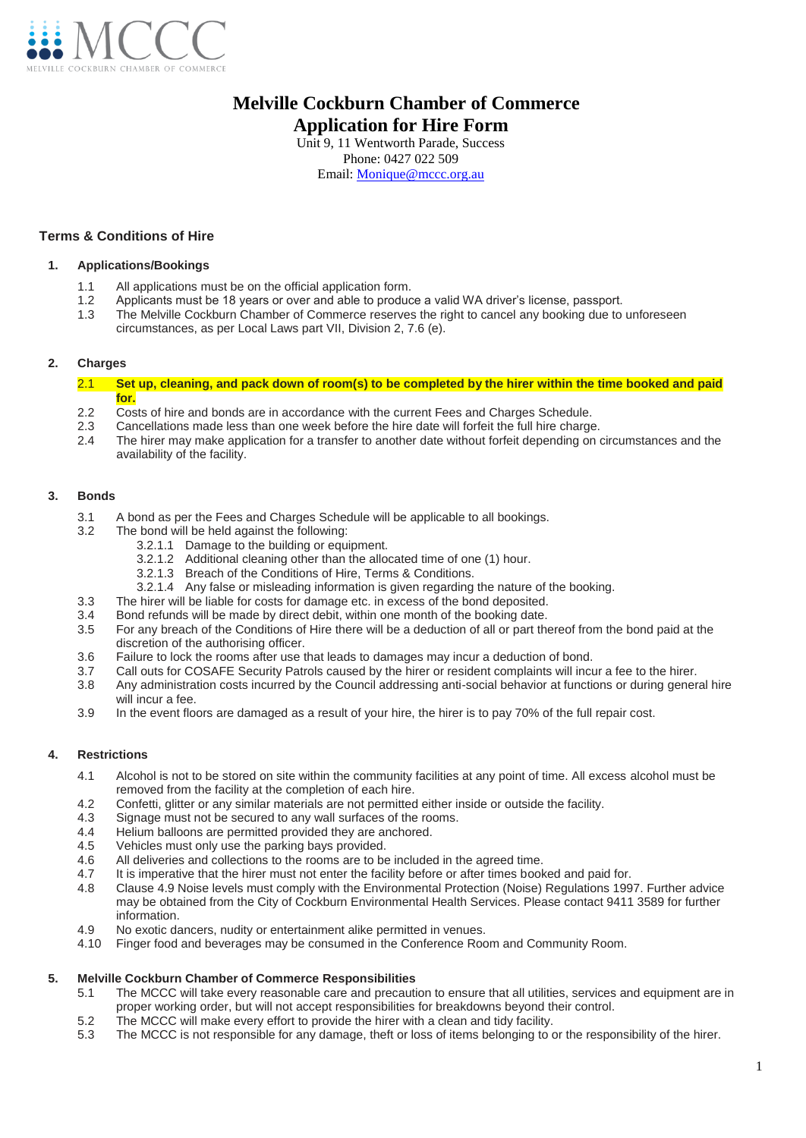

# **f Melville Cockburn Chamber of Commerce Application for Hire Form**

Unit 9, 11 Wentworth Parade, Success Phone: 0427 022 509

Email: [Monique@mccc.org.au](mailto:Monique@mccc.org.au)

# **Terms & Conditions of Hire**

# **1. Applications/Bookings**

- 1.1 All applications must be on the official application form.<br>1.2 Applicants must be 18 years or over and able to produc
- Applicants must be 18 years or over and able to produce a valid WA driver's license, passport.
- 1.3 The Melville Cockburn Chamber of Commerce reserves the right to cancel any booking due to unforeseen circumstances, as per Local Laws part VII, Division 2, 7.6 (e).

# **2. Charges**

2.1 **Set up, cleaning, and pack down of room(s) to be completed by the hirer within the time booked and paid for.**

- 2.2 Costs of hire and bonds are in accordance with the current Fees and Charges Schedule.<br>2.3 Cancellations made less than one week before the bire date will forfeit the full bire charge
- 2.3 Cancellations made less than one week before the hire date will forfeit the full hire charge.<br>2.4 The hirer may make application for a transfer to another date without forfeit depending on o
- The hirer may make application for a transfer to another date without forfeit depending on circumstances and the availability of the facility.

# **3. Bonds**

- 3.1 A bond as per the Fees and Charges Schedule will be applicable to all bookings.
- 3.2 The bond will be held against the following:
	- 3.2.1.1 Damage to the building or equipment.
	- 3.2.1.2 Additional cleaning other than the allocated time of one (1) hour.
	- 3.2.1.3 Breach of the Conditions of Hire, Terms & Conditions.
	- 3.2.1.4 Any false or misleading information is given regarding the nature of the booking.
- 3.3 The hirer will be liable for costs for damage etc. in excess of the bond deposited.<br>3.4 Bond refunds will be made by direct debit within one month of the booking date
- 3.4 Bond refunds will be made by direct debit, within one month of the booking date.<br>3.5 For any breach of the Conditions of Hire there will be a deduction of all or part the
- For any breach of the Conditions of Hire there will be a deduction of all or part thereof from the bond paid at the discretion of the authorising officer.
- 3.6 Failure to lock the rooms after use that leads to damages may incur a deduction of bond.<br>3.7 Call outs for COSAFE Security Patrols caused by the hirer or resident complaints will incu
- 3.7 Call outs for COSAFE Security Patrols caused by the hirer or resident complaints will incur a fee to the hirer.<br>3.8 Any administration costs incurred by the Council addressing anti-social behavior at functions or durin
- Any administration costs incurred by the Council addressing anti-social behavior at functions or during general hire will incur a fee.
- 3.9 In the event floors are damaged as a result of your hire, the hirer is to pay 70% of the full repair cost.

# **4. Restrictions**

- 4.1 Alcohol is not to be stored on site within the community facilities at any point of time. All excess alcohol must be removed from the facility at the completion of each hire.
- 4.2 Confetti, glitter or any similar materials are not permitted either inside or outside the facility.
- 4.3 Signage must not be secured to any wall surfaces of the rooms.<br>4.4 Helium balloons are permitted provided they are anchored.
- Helium balloons are permitted provided they are anchored.
- 4.5 Vehicles must only use the parking bays provided.
- 4.6 All deliveries and collections to the rooms are to be included in the agreed time.
- 4.7 It is imperative that the hirer must not enter the facility before or after times booked and paid for.
- 4.8 Clause 4.9 Noise levels must comply with the Environmental Protection (Noise) Regulations 1997. Further advice may be obtained from the City of Cockburn Environmental Health Services. Please contact 9411 3589 for further information.
- 4.9 No exotic dancers, nudity or entertainment alike permitted in venues.
- 4.10 Finger food and beverages may be consumed in the Conference Room and Community Room.

#### **5. Melville Cockburn Chamber of Commerce Responsibilities**

- 5.1 The MCCC will take every reasonable care and precaution to ensure that all utilities, services and equipment are in proper working order, but will not accept responsibilities for breakdowns beyond their control.
- 5.2 The MCCC will make every effort to provide the hirer with a clean and tidy facility.
- 5.3 The MCCC is not responsible for any damage, theft or loss of items belonging to or the responsibility of the hirer.